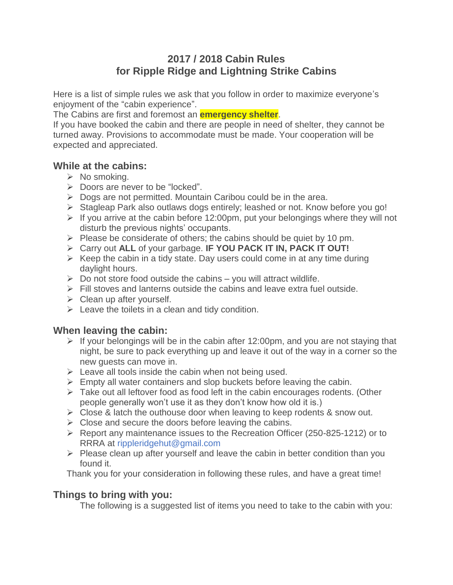## **2017 / 2018 Cabin Rules for Ripple Ridge and Lightning Strike Cabins**

Here is a list of simple rules we ask that you follow in order to maximize everyone's enjoyment of the "cabin experience".

The Cabins are first and foremost an **emergency shelter**.

If you have booked the cabin and there are people in need of shelter, they cannot be turned away. Provisions to accommodate must be made. Your cooperation will be expected and appreciated.

## **While at the cabins:**

- $\triangleright$  No smoking.
- $\triangleright$  Doors are never to be "locked".
- $\triangleright$  Dogs are not permitted. Mountain Caribou could be in the area.
- Stagleap Park also outlaws dogs entirely; leashed or not. Know before you go!
- $\triangleright$  If you arrive at the cabin before 12:00pm, put your belongings where they will not disturb the previous nights' occupants.
- $\triangleright$  Please be considerate of others; the cabins should be quiet by 10 pm.
- Carry out **ALL** of your garbage. **IF YOU PACK IT IN, PACK IT OUT!**
- $\triangleright$  Keep the cabin in a tidy state. Day users could come in at any time during daylight hours.
- $\triangleright$  Do not store food outside the cabins you will attract wildlife.
- $\triangleright$  Fill stoves and lanterns outside the cabins and leave extra fuel outside.
- $\triangleright$  Clean up after yourself.
- $\triangleright$  Leave the toilets in a clean and tidy condition.

## **When leaving the cabin:**

- $\triangleright$  If your belongings will be in the cabin after 12:00pm, and you are not staying that night, be sure to pack everything up and leave it out of the way in a corner so the new guests can move in.
- $\triangleright$  Leave all tools inside the cabin when not being used.
- $\triangleright$  Empty all water containers and slop buckets before leaving the cabin.
- $\triangleright$  Take out all leftover food as food left in the cabin encourages rodents. (Other people generally won't use it as they don't know how old it is.)
- $\triangleright$  Close & latch the outhouse door when leaving to keep rodents & snow out.
- $\triangleright$  Close and secure the doors before leaving the cabins.
- Report any maintenance issues to the Recreation Officer (250-825-1212) or to RRRA at rippleridgehut@gmail.com
- $\triangleright$  Please clean up after yourself and leave the cabin in better condition than you found it.

Thank you for your consideration in following these rules, and have a great time!

## **Things to bring with you:**

The following is a suggested list of items you need to take to the cabin with you: